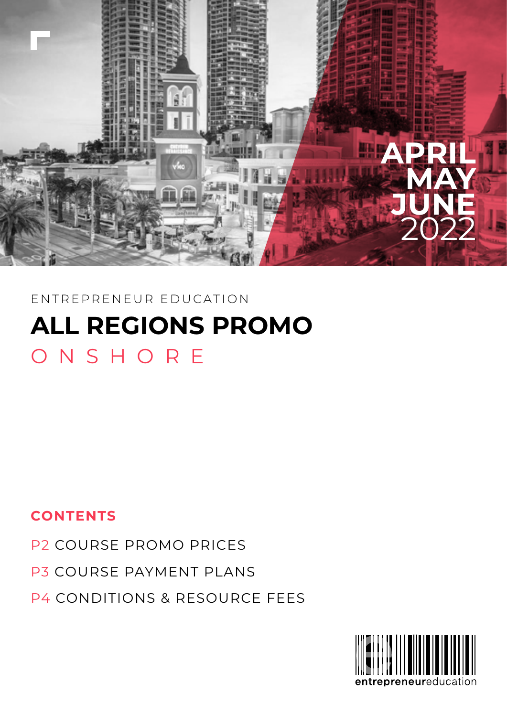

## P4 CONDITIONS & RESOURCE FEES

## P3 COURSE PAYMENT PLANS

## **CONTENTS**

## P2 COURSE PROMO PRICES

## **ALL REGIONS PROMO** ONSHORE

### ENTREPRENEUR EDUCATION

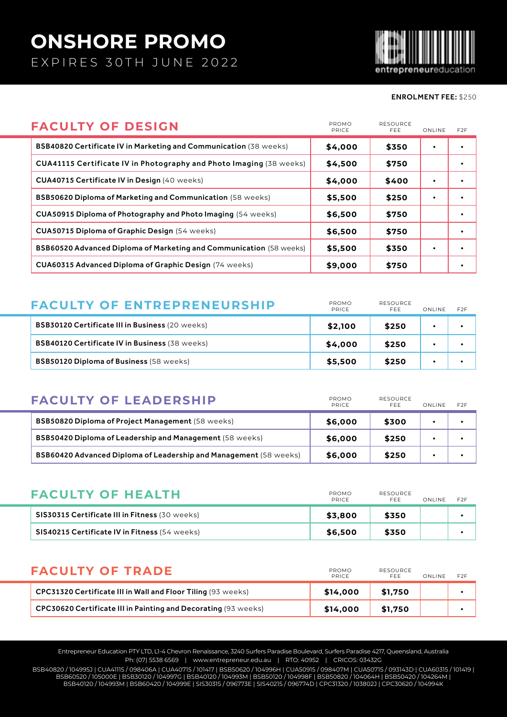# **ONSHORE PROMO**

EXPIRES 30TH JUNE 2022



### ENROLMENT FEE: \$250

| <b>FACULTY OF DESIGN</b>                                            | PROMO<br><b>PRICE</b> | <b>RESOURCE</b><br><b>FFF</b> | ONLINE | F <sub>2</sub> F |
|---------------------------------------------------------------------|-----------------------|-------------------------------|--------|------------------|
| BSB40820 Certificate IV in Marketing and Communication (38 weeks)   | \$4,000               | \$350                         |        |                  |
| CUA41115 Certificate IV in Photography and Photo Imaging (38 weeks) | \$4,500               | \$750                         |        |                  |
| <b>CUA40715 Certificate IV in Design (40 weeks)</b>                 | \$4,000               | \$400                         |        |                  |
| BSB50620 Diploma of Marketing and Communication (58 weeks)          | \$5,500               | \$250                         |        |                  |
| CUA50915 Diploma of Photography and Photo Imaging (54 weeks)        | \$6,500               | \$750                         |        |                  |
| <b>CUA50715 Diploma of Graphic Design (54 weeks)</b>                | \$6,500               | \$750                         |        |                  |
| BSB60520 Advanced Diploma of Marketing and Communication (58 weeks) | \$5,500               | \$350                         |        |                  |
| <b>CUA60315 Advanced Diploma of Graphic Design (74 weeks)</b>       | \$9,000               | \$750                         |        |                  |

| <b>FACULTY OF ENTREPRENEURSHIP</b>                     | PROMO<br>PRICE | RESOURCE<br>FFF. | ONLINE | F <sub>2</sub> F |
|--------------------------------------------------------|----------------|------------------|--------|------------------|
| <b>BSB30120 Certificate III in Business (20 weeks)</b> | \$2,100        | \$250            |        |                  |
| <b>BSB40120 Certificate IV in Business (38 weeks)</b>  | \$4,000        | \$250            |        |                  |
| <b>BSB50120 Diploma of Business (58 weeks)</b>         | \$5,500        | \$250            |        |                  |

| <b>FACULTY OF LEADERSHIP</b>                                      | PROMO<br>PRICE | <b>RESOURCE</b><br>FFF. | ONLINE | F <sub>2</sub> F |
|-------------------------------------------------------------------|----------------|-------------------------|--------|------------------|
| <b>BSB50820 Diploma of Project Management (58 weeks)</b>          | \$6,000        | \$300                   |        |                  |
| <b>BSB50420 Diploma of Leadership and Management</b> (58 weeks)   | \$6,000        | \$250                   |        |                  |
| BSB60420 Advanced Diploma of Leadership and Management (58 weeks) | \$6,000        | \$250                   |        |                  |

| <b>FACULTY OF HEALTH</b>                             | PROMO<br>PRICE | <b>RESOURCE</b><br>FFF. | ONLINE | F <sub>2</sub> F |
|------------------------------------------------------|----------------|-------------------------|--------|------------------|
| SIS30315 Certificate III in Fitness (30 weeks)       | \$3.800        | \$350                   |        |                  |
| <b>SIS40215 Certificate IV in Fitness (54 weeks)</b> | \$6.500        | \$350                   |        |                  |

| <b>FACULTY OF TRADE</b>                                        | PROMO<br>PRICE | RESOURCE<br>FFF. | ONLINE | <b>F2F</b> |
|----------------------------------------------------------------|----------------|------------------|--------|------------|
| CPC31320 Certificate III in Wall and Floor Tiling (93 weeks)   | \$14,000       | \$1.750          |        |            |
| CPC30620 Certificate III in Painting and Decorating (93 weeks) | \$14,000       | \$1,750          |        |            |

Entrepreneur Education PTY LTD, L1-4 Chevron Renaissance, 3240 Surfers Paradise Boulevard, Surfers Paradise 4217, Queensland, Australia Ph: (07) 5538 6569 | www.entrepreneur.edu.au | RTO: 40952 | CRICOS: 03432G

BSB40820 / 104995J | CUA41115 / 098406A | CUA40715 / 101417 | BSB50620 / 104996H | CUA50915 / 098407M | CUA50715 / 093143D | CUA60315 / 101419 | BSB60520 / 105000E | BSB30120 / 104997G | BSB40120 / 104993M | BSB50120 / 104998F | BSB50820 / 104064H | BSB50420 / 104264M | BSB40120 / 104993M | BSB60420 / 104999E | SIS30315 / 096773E | SIS40215 / 096774D | CPC31320 / 103802J | CPC30620 / 104994K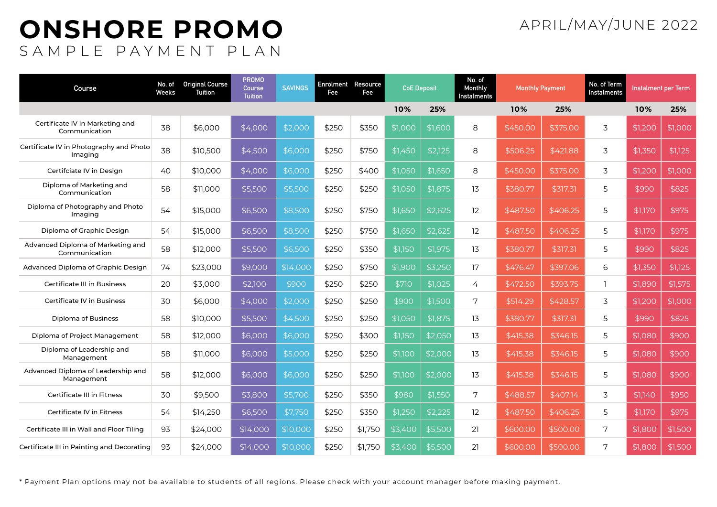## **ONSHORE PROMO** SAMPLE PAYMENT PLAN

## APRIL/MAY/JUNE 2022

| <b>Course</b>                                      | No. of<br>Weeks | <b>Original Course</b><br>Tuition | <b>PROMO</b><br>Course<br><b>Tuition</b> | <b>SAVINGS</b> | <b>Enrolment Resource</b><br>Fee | Fee     | <b>CoE Deposit</b> |                 |    |          |          |   |         |         |  |  |  |  |  |  |  |  |  |  |  |  |  |  |  |  |  |  |  |  |  |  |  |  |  |  |  |  |  |  |  |  |  |  |  |  |  |  |  |  |  |  |  |  |  |  |  |  |  |  |  |  |  |  |  |  |  |  |  |  |  |  |  |  |  |  |  |  |  |  |  |  |  |  |  |  |  |  |  |  |  |  |  |  | No. of<br>Monthly<br>Instalments | <b>Monthly Payment</b> |  | No. of Term<br><b>Instalments</b> | Instalment per Term |  |
|----------------------------------------------------|-----------------|-----------------------------------|------------------------------------------|----------------|----------------------------------|---------|--------------------|-----------------|----|----------|----------|---|---------|---------|--|--|--|--|--|--|--|--|--|--|--|--|--|--|--|--|--|--|--|--|--|--|--|--|--|--|--|--|--|--|--|--|--|--|--|--|--|--|--|--|--|--|--|--|--|--|--|--|--|--|--|--|--|--|--|--|--|--|--|--|--|--|--|--|--|--|--|--|--|--|--|--|--|--|--|--|--|--|--|--|--|--|--|--|----------------------------------|------------------------|--|-----------------------------------|---------------------|--|
|                                                    |                 |                                   |                                          |                |                                  |         | 10%                | 25%             |    | 10%      | 25%      |   | 10%     | 25%     |  |  |  |  |  |  |  |  |  |  |  |  |  |  |  |  |  |  |  |  |  |  |  |  |  |  |  |  |  |  |  |  |  |  |  |  |  |  |  |  |  |  |  |  |  |  |  |  |  |  |  |  |  |  |  |  |  |  |  |  |  |  |  |  |  |  |  |  |  |  |  |  |  |  |  |  |  |  |  |  |  |  |  |  |                                  |                        |  |                                   |                     |  |
| Certificate IV in Marketing and<br>Communication   | 38              | \$6,000                           | \$4,000                                  | \$2,000        | \$250                            | \$350   | \$1,000            | \$1,600         | 8  | \$450.00 | \$375.00 | 3 | \$1,200 | \$1,000 |  |  |  |  |  |  |  |  |  |  |  |  |  |  |  |  |  |  |  |  |  |  |  |  |  |  |  |  |  |  |  |  |  |  |  |  |  |  |  |  |  |  |  |  |  |  |  |  |  |  |  |  |  |  |  |  |  |  |  |  |  |  |  |  |  |  |  |  |  |  |  |  |  |  |  |  |  |  |  |  |  |  |  |  |                                  |                        |  |                                   |                     |  |
| Certificate IV in Photography and Photo<br>Imaging | 38              | \$10,500                          | \$4,500                                  | \$6,000        | \$250                            | \$750   | \$1,450            | \$2,125         | 8  | \$506.25 | \$421.88 | 3 | \$1,350 | \$1,125 |  |  |  |  |  |  |  |  |  |  |  |  |  |  |  |  |  |  |  |  |  |  |  |  |  |  |  |  |  |  |  |  |  |  |  |  |  |  |  |  |  |  |  |  |  |  |  |  |  |  |  |  |  |  |  |  |  |  |  |  |  |  |  |  |  |  |  |  |  |  |  |  |  |  |  |  |  |  |  |  |  |  |  |  |                                  |                        |  |                                   |                     |  |
| Certifciate IV in Design                           | 40              | \$10,000                          | \$4,000                                  | \$6,000        | \$250                            | \$400   | \$1,050            | \$1,650         | 8  | \$450.00 | \$375.00 | 3 | \$1,200 | \$1,000 |  |  |  |  |  |  |  |  |  |  |  |  |  |  |  |  |  |  |  |  |  |  |  |  |  |  |  |  |  |  |  |  |  |  |  |  |  |  |  |  |  |  |  |  |  |  |  |  |  |  |  |  |  |  |  |  |  |  |  |  |  |  |  |  |  |  |  |  |  |  |  |  |  |  |  |  |  |  |  |  |  |  |  |  |                                  |                        |  |                                   |                     |  |
| Diploma of Marketing and<br>Communication          | 58              | \$11,000                          | \$5,500                                  | \$5,500        | \$250                            | \$250   | \$1,050            | \$1,875         | 13 | \$380.77 | \$317.31 | 5 | \$990   | \$825   |  |  |  |  |  |  |  |  |  |  |  |  |  |  |  |  |  |  |  |  |  |  |  |  |  |  |  |  |  |  |  |  |  |  |  |  |  |  |  |  |  |  |  |  |  |  |  |  |  |  |  |  |  |  |  |  |  |  |  |  |  |  |  |  |  |  |  |  |  |  |  |  |  |  |  |  |  |  |  |  |  |  |  |  |                                  |                        |  |                                   |                     |  |
| Diploma of Photography and Photo<br>Imaging        | 54              | \$15,000                          | \$6,500                                  | \$8,500        | \$250                            | \$750   | \$1,650            | \$2,625         | 12 | \$487.50 | \$406.25 | 5 | \$1,170 | \$975   |  |  |  |  |  |  |  |  |  |  |  |  |  |  |  |  |  |  |  |  |  |  |  |  |  |  |  |  |  |  |  |  |  |  |  |  |  |  |  |  |  |  |  |  |  |  |  |  |  |  |  |  |  |  |  |  |  |  |  |  |  |  |  |  |  |  |  |  |  |  |  |  |  |  |  |  |  |  |  |  |  |  |  |  |                                  |                        |  |                                   |                     |  |
| Diploma of Graphic Design                          | 54              | \$15,000                          | \$6,500                                  | \$8,500        | \$250                            | \$750   | \$1,650            | \$2,625         | 12 | \$487.50 | \$406.25 | 5 | \$1,170 | \$975   |  |  |  |  |  |  |  |  |  |  |  |  |  |  |  |  |  |  |  |  |  |  |  |  |  |  |  |  |  |  |  |  |  |  |  |  |  |  |  |  |  |  |  |  |  |  |  |  |  |  |  |  |  |  |  |  |  |  |  |  |  |  |  |  |  |  |  |  |  |  |  |  |  |  |  |  |  |  |  |  |  |  |  |  |                                  |                        |  |                                   |                     |  |
| Advanced Diploma of Marketing and<br>Communication | 58              | \$12,000                          | \$5,500                                  | \$6,500        | \$250                            | \$350   | \$1,150            | \$1,975         | 13 | \$380.77 | \$317.31 | 5 | \$990   | \$825   |  |  |  |  |  |  |  |  |  |  |  |  |  |  |  |  |  |  |  |  |  |  |  |  |  |  |  |  |  |  |  |  |  |  |  |  |  |  |  |  |  |  |  |  |  |  |  |  |  |  |  |  |  |  |  |  |  |  |  |  |  |  |  |  |  |  |  |  |  |  |  |  |  |  |  |  |  |  |  |  |  |  |  |  |                                  |                        |  |                                   |                     |  |
| Advanced Diploma of Graphic Design                 | 74              | \$23,000                          | \$9,000                                  | \$14,000       | \$250                            | \$750   | \$1,900            | \$3,250         | 17 | \$476.47 | \$397.06 | 6 | \$1,350 | \$1,125 |  |  |  |  |  |  |  |  |  |  |  |  |  |  |  |  |  |  |  |  |  |  |  |  |  |  |  |  |  |  |  |  |  |  |  |  |  |  |  |  |  |  |  |  |  |  |  |  |  |  |  |  |  |  |  |  |  |  |  |  |  |  |  |  |  |  |  |  |  |  |  |  |  |  |  |  |  |  |  |  |  |  |  |  |                                  |                        |  |                                   |                     |  |
| <b>Certificate III in Business</b>                 | 20              | \$3,000                           | \$2,100                                  | \$900          | \$250                            | \$250   | \$710              | \$1,025         | 4  | \$472.50 | \$393.75 |   | \$1,890 | \$1,575 |  |  |  |  |  |  |  |  |  |  |  |  |  |  |  |  |  |  |  |  |  |  |  |  |  |  |  |  |  |  |  |  |  |  |  |  |  |  |  |  |  |  |  |  |  |  |  |  |  |  |  |  |  |  |  |  |  |  |  |  |  |  |  |  |  |  |  |  |  |  |  |  |  |  |  |  |  |  |  |  |  |  |  |  |                                  |                        |  |                                   |                     |  |
| <b>Certificate IV in Business</b>                  | 30              | \$6,000                           | \$4,000                                  | \$2,000        | \$250                            | \$250   | \$900              | \$1,500         | 7  | \$514.29 | \$428.57 | 3 | \$1,200 | \$1,000 |  |  |  |  |  |  |  |  |  |  |  |  |  |  |  |  |  |  |  |  |  |  |  |  |  |  |  |  |  |  |  |  |  |  |  |  |  |  |  |  |  |  |  |  |  |  |  |  |  |  |  |  |  |  |  |  |  |  |  |  |  |  |  |  |  |  |  |  |  |  |  |  |  |  |  |  |  |  |  |  |  |  |  |  |                                  |                        |  |                                   |                     |  |
| Diploma of Business                                | 58              | \$10,000                          | \$5,500                                  | \$4,500        | \$250                            | \$250   | \$1,050            | \$1,875         | 13 | \$380.77 | \$317.31 | 5 | \$990   | \$825   |  |  |  |  |  |  |  |  |  |  |  |  |  |  |  |  |  |  |  |  |  |  |  |  |  |  |  |  |  |  |  |  |  |  |  |  |  |  |  |  |  |  |  |  |  |  |  |  |  |  |  |  |  |  |  |  |  |  |  |  |  |  |  |  |  |  |  |  |  |  |  |  |  |  |  |  |  |  |  |  |  |  |  |  |                                  |                        |  |                                   |                     |  |
| Diploma of Project Management                      | 58              | \$12,000                          | \$6,000                                  | \$6,000        | \$250                            | \$300   | \$1,150            | \$2,050         | 13 | \$415.38 | \$346.15 | 5 | \$1,080 | \$900   |  |  |  |  |  |  |  |  |  |  |  |  |  |  |  |  |  |  |  |  |  |  |  |  |  |  |  |  |  |  |  |  |  |  |  |  |  |  |  |  |  |  |  |  |  |  |  |  |  |  |  |  |  |  |  |  |  |  |  |  |  |  |  |  |  |  |  |  |  |  |  |  |  |  |  |  |  |  |  |  |  |  |  |  |                                  |                        |  |                                   |                     |  |
| Diploma of Leadership and<br>Management            | 58              | \$11,000                          | \$6,000                                  | \$5,000        | \$250                            | \$250   | \$1,100            | $\sqrt{$2,000}$ | 13 | \$415.38 | \$346.15 | 5 | \$1,080 | \$900   |  |  |  |  |  |  |  |  |  |  |  |  |  |  |  |  |  |  |  |  |  |  |  |  |  |  |  |  |  |  |  |  |  |  |  |  |  |  |  |  |  |  |  |  |  |  |  |  |  |  |  |  |  |  |  |  |  |  |  |  |  |  |  |  |  |  |  |  |  |  |  |  |  |  |  |  |  |  |  |  |  |  |  |  |                                  |                        |  |                                   |                     |  |
| Advanced Diploma of Leadership and<br>Management   | 58              | \$12,000                          | \$6,000                                  | \$6,000        | \$250                            | \$250   | \$1,100            | \$2,000         | 13 | \$415.38 | \$346.15 | 5 | \$1,080 | \$900   |  |  |  |  |  |  |  |  |  |  |  |  |  |  |  |  |  |  |  |  |  |  |  |  |  |  |  |  |  |  |  |  |  |  |  |  |  |  |  |  |  |  |  |  |  |  |  |  |  |  |  |  |  |  |  |  |  |  |  |  |  |  |  |  |  |  |  |  |  |  |  |  |  |  |  |  |  |  |  |  |  |  |  |  |                                  |                        |  |                                   |                     |  |
| <b>Certificate III in Fitness</b>                  | 30              | \$9,500                           | \$3,800                                  | \$5,700        | \$250                            | \$350   | \$980              | \$1,550         | 7  | \$488.57 | \$407.14 | 3 | \$1,140 | \$950   |  |  |  |  |  |  |  |  |  |  |  |  |  |  |  |  |  |  |  |  |  |  |  |  |  |  |  |  |  |  |  |  |  |  |  |  |  |  |  |  |  |  |  |  |  |  |  |  |  |  |  |  |  |  |  |  |  |  |  |  |  |  |  |  |  |  |  |  |  |  |  |  |  |  |  |  |  |  |  |  |  |  |  |  |                                  |                        |  |                                   |                     |  |
| Certificate IV in Fitness                          | 54              | \$14,250                          | \$6,500                                  | \$7,750        | \$250                            | \$350   | \$1,250            | \$2,225         | 12 | \$487.50 | \$406.25 | 5 | \$1,170 | \$975   |  |  |  |  |  |  |  |  |  |  |  |  |  |  |  |  |  |  |  |  |  |  |  |  |  |  |  |  |  |  |  |  |  |  |  |  |  |  |  |  |  |  |  |  |  |  |  |  |  |  |  |  |  |  |  |  |  |  |  |  |  |  |  |  |  |  |  |  |  |  |  |  |  |  |  |  |  |  |  |  |  |  |  |  |                                  |                        |  |                                   |                     |  |
| Certificate III in Wall and Floor Tiling           | 93              | \$24,000                          | \$14,000                                 | \$10,000       | \$250                            | \$1,750 | \$3,400            | \$5,500         | 21 | \$600.00 | \$500.00 | 7 | \$1,800 | \$1,500 |  |  |  |  |  |  |  |  |  |  |  |  |  |  |  |  |  |  |  |  |  |  |  |  |  |  |  |  |  |  |  |  |  |  |  |  |  |  |  |  |  |  |  |  |  |  |  |  |  |  |  |  |  |  |  |  |  |  |  |  |  |  |  |  |  |  |  |  |  |  |  |  |  |  |  |  |  |  |  |  |  |  |  |  |                                  |                        |  |                                   |                     |  |
| Certificate III in Painting and Decorating         | 93              | \$24,000                          | \$14,000                                 | \$10,000       | \$250                            | \$1,750 | \$3,400            | \$5,500         | 21 | \$600.00 | \$500.00 | 7 | \$1,800 | \$1,500 |  |  |  |  |  |  |  |  |  |  |  |  |  |  |  |  |  |  |  |  |  |  |  |  |  |  |  |  |  |  |  |  |  |  |  |  |  |  |  |  |  |  |  |  |  |  |  |  |  |  |  |  |  |  |  |  |  |  |  |  |  |  |  |  |  |  |  |  |  |  |  |  |  |  |  |  |  |  |  |  |  |  |  |  |                                  |                        |  |                                   |                     |  |

\* Payment Plan options may not be available to students of all regions. Please check with your account manager before making payment.